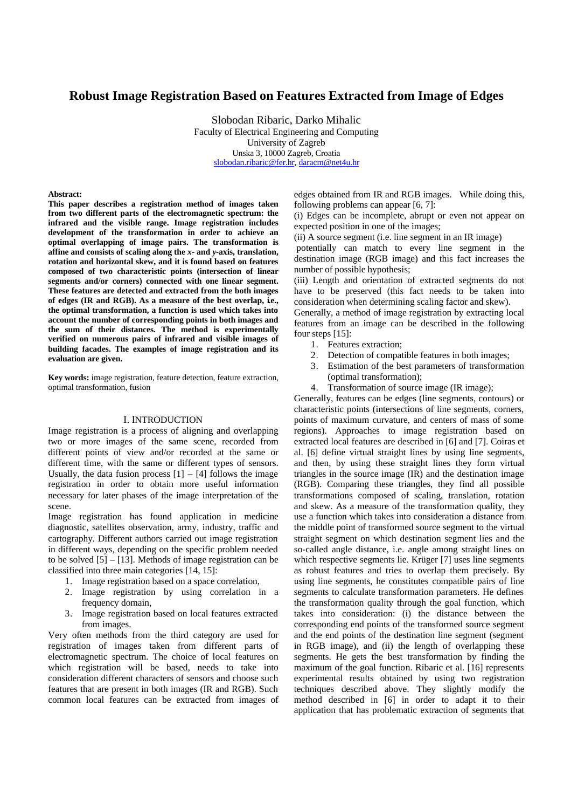# **Robust Image Registration Based on Features Extracted from Image of Edges**

Slobodan Ribaric, Darko Mihalic Faculty of Electrical Engineering and Computing University of Zagreb Unska 3, 10000 Zagreb, Croatia slobodan.ribaric@fer.hr, daracm@net4u.hr

#### **Abstract:**

**This paper describes a registration method of images taken from two different parts of the electromagnetic spectrum: the infrared and the visible range. Image registration includes development of the transformation in order to achieve an optimal overlapping of image pairs. The transformation is affine and consists of scaling along the** *x***- and** *y-***axis, translation, rotation and horizontal skew, and it is found based on features composed of two characteristic points (intersection of linear segments and/or corners) connected with one linear segment. These features are detected and extracted from the both images**  of edges (IR and RGB). As a measure of the best overlap, i.e., **the optimal transformation, a function is used which takes into account the number of corresponding points in both images and the sum of their distances. The method is experimentally verified on numerous pairs of infrared and visible images of building facades. The examples of image registration and its evaluation are given.** 

**Key words:** image registration, feature detection, feature extraction, optimal transformation, fusion

# I. INTRODUCTION

Image registration is a process of aligning and overlapping two or more images of the same scene, recorded from different points of view and/or recorded at the same or different time, with the same or different types of sensors. Usually, the data fusion process  $[1] - [4]$  follows the image registration in order to obtain more useful information necessary for later phases of the image interpretation of the scene.

Image registration has found application in medicine diagnostic, satellites observation, army, industry, traffic and cartography. Different authors carried out image registration in different ways, depending on the specific problem needed to be solved [5] – [13]. Methods of image registration can be classified into three main categories [14, 15]:

- 1. Image registration based on a space correlation,
- 2. Image registration by using correlation in a frequency domain,
- 3. Image registration based on local features extracted from images.

Very often methods from the third category are used for registration of images taken from different parts of electromagnetic spectrum. The choice of local features on which registration will be based, needs to take into consideration different characters of sensors and choose such features that are present in both images (IR and RGB). Such common local features can be extracted from images of

edges obtained from IR and RGB images. While doing this, following problems can appear [6, 7]:

(i) Edges can be incomplete, abrupt or even not appear on expected position in one of the images;

(ii) A source segment (i.e. line segment in an IR image)

 potentially can match to every line segment in the destination image (RGB image) and this fact increases the number of possible hypothesis;

(iii) Length and orientation of extracted segments do not have to be preserved (this fact needs to be taken into consideration when determining scaling factor and skew).

Generally, a method of image registration by extracting local features from an image can be described in the following four steps [15]:

- 1. Features extraction;
- 2. Detection of compatible features in both images;
- 3. Estimation of the best parameters of transformation (optimal transformation);
- 4. Transformation of source image (IR image);

Generally, features can be edges (line segments, contours) or characteristic points (intersections of line segments, corners, points of maximum curvature, and centers of mass of some regions). Approaches to image registration based on extracted local features are described in [6] and [7]. Coiras et al. [6] define virtual straight lines by using line segments, and then, by using these straight lines they form virtual triangles in the source image (IR) and the destination image (RGB). Comparing these triangles, they find all possible transformations composed of scaling, translation, rotation and skew. As a measure of the transformation quality, they use a function which takes into consideration a distance from the middle point of transformed source segment to the virtual straight segment on which destination segment lies and the so-called angle distance, i.e. angle among straight lines on which respective segments lie. Krüger [7] uses line segments as robust features and tries to overlap them precisely. By using line segments, he constitutes compatible pairs of line segments to calculate transformation parameters. He defines the transformation quality through the goal function, which takes into consideration: (i) the distance between the corresponding end points of the transformed source segment and the end points of the destination line segment (segment in RGB image), and (ii) the length of overlapping these segments. He gets the best transformation by finding the maximum of the goal function. Ribaric et al. [16] represents experimental results obtained by using two registration techniques described above. They slightly modify the method described in [6] in order to adapt it to their application that has problematic extraction of segments that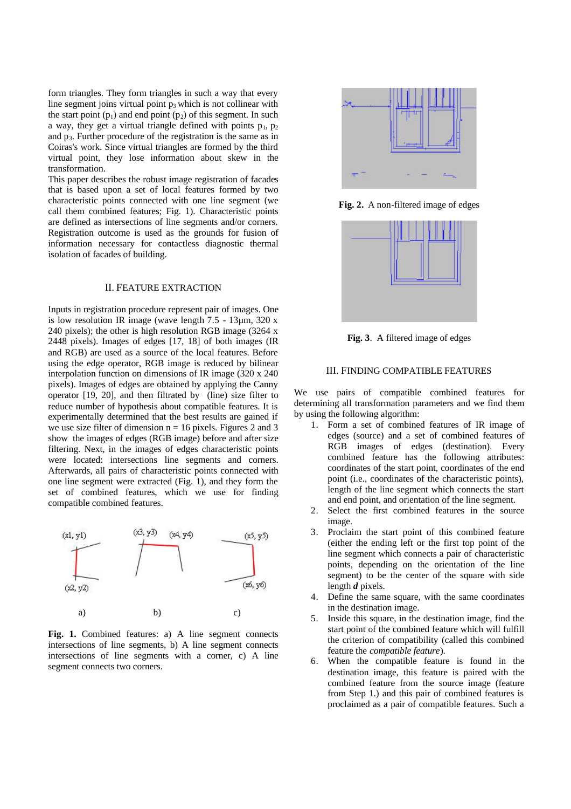form triangles. They form triangles in such a way that every line segment joins virtual point  $p_3$  which is not collinear with the start point  $(p_1)$  and end point  $(p_2)$  of this segment. In such a way, they get a virtual triangle defined with points  $p_1$ ,  $p_2$ and  $p_3$ . Further procedure of the registration is the same as in Coiras's work. Since virtual triangles are formed by the third virtual point, they lose information about skew in the transformation.

This paper describes the robust image registration of facades that is based upon a set of local features formed by two characteristic points connected with one line segment (we call them combined features; Fig. 1). Characteristic points are defined as intersections of line segments and/or corners. Registration outcome is used as the grounds for fusion of information necessary for contactless diagnostic thermal isolation of facades of building.

## II. FEATURE EXTRACTION

Inputs in registration procedure represent pair of images. One is low resolution IR image (wave length  $7.5 - 13\mu$ m, 320 x 240 pixels); the other is high resolution RGB image (3264 x 2448 pixels). Images of edges [17, 18] of both images (IR and RGB) are used as a source of the local features. Before using the edge operator, RGB image is reduced by bilinear interpolation function on dimensions of IR image (320 x 240 pixels). Images of edges are obtained by applying the Canny operator [19, 20], and then filtrated by (line) size filter to reduce number of hypothesis about compatible features. It is experimentally determined that the best results are gained if we use size filter of dimension  $n = 16$  pixels. Figures 2 and 3 show the images of edges (RGB image) before and after size filtering. Next, in the images of edges characteristic points were located: intersections line segments and corners. Afterwards, all pairs of characteristic points connected with one line segment were extracted (Fig. 1), and they form the set of combined features, which we use for finding compatible combined features.



Fig. 1. Combined features: a) A line segment connects intersections of line segments, b) A line segment connects intersections of line segments with a corner, c) A line segment connects two corners.



**Fig. 2.** A non-filtered image of edges



**Fig. 3**. A filtered image of edges

# III. FINDING COMPATIBLE FEATURES

We use pairs of compatible combined features for determining all transformation parameters and we find them by using the following algorithm:

- 1. Form a set of combined features of IR image of edges (source) and a set of combined features of RGB images of edges (destination). Every combined feature has the following attributes: coordinates of the start point, coordinates of the end point (i.e., coordinates of the characteristic points), length of the line segment which connects the start and end point, and orientation of the line segment.
- 2. Select the first combined features in the source image.
- 3. Proclaim the start point of this combined feature (either the ending left or the first top point of the line segment which connects a pair of characteristic points, depending on the orientation of the line segment) to be the center of the square with side length *d* pixels.
- 4. Define the same square, with the same coordinates in the destination image.
- 5. Inside this square, in the destination image, find the start point of the combined feature which will fulfill the criterion of compatibility (called this combined feature the *compatible feature*).
- 6. When the compatible feature is found in the destination image, this feature is paired with the combined feature from the source image (feature from Step 1.) and this pair of combined features is proclaimed as a pair of compatible features. Such a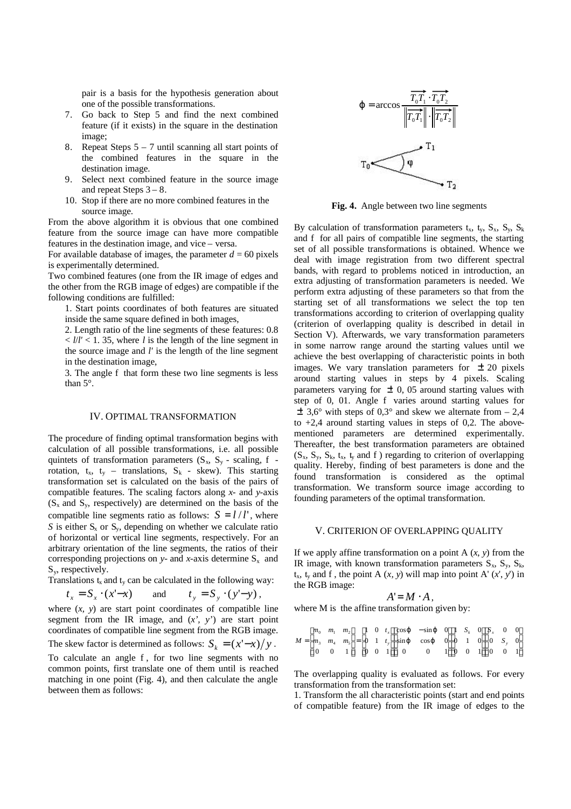pair is a basis for the hypothesis generation about one of the possible transformations.

- 7. Go back to Step 5 and find the next combined feature (if it exists) in the square in the destination image;
- 8. Repeat Steps 5 7 until scanning all start points of the combined features in the square in the destination image.
- 9. Select next combined feature in the source image and repeat Steps  $3 - 8$ .
- 10. Stop if there are no more combined features in the source image.

From the above algorithm it is obvious that one combined feature from the source image can have more compatible features in the destination image, and vice – versa.

For available database of images, the parameter  $d = 60$  pixels is experimentally determined.

Two combined features (one from the IR image of edges and the other from the RGB image of edges) are compatible if the following conditions are fulfilled:

1. Start points coordinates of both features are situated inside the same square defined in both images,

2. Length ratio of the line segments of these features: 0.8  $\langle l/l' \rangle$  < 1. 35, where *l* is the length of the line segment in the source image and *l'* is the length of the line segment in the destination image,

3. The angle f that form these two line segments is less than 5°.

# IV. OPTIMAL TRANSFORMATION

The procedure of finding optimal transformation begins with calculation of all possible transformations, i.e. all possible quintets of transformation parameters  $(S_x, S_y$  - scaling, f rotation,  $t_x$ ,  $t_y$  – translations,  $S_k$  - skew). This starting transformation set is calculated on the basis of the pairs of compatible features. The scaling factors along *x*- and *y*-axis  $(S_x \text{ and } S_y, \text{ respectively})$  are determined on the basis of the compatible line segments ratio as follows:  $S = l / l'$ , where *S* is either  $S_x$  or  $S_y$ , depending on whether we calculate ratio of horizontal or vertical line segments, respectively. For an arbitrary orientation of the line segments, the ratios of their corresponding projections on  $y$ - and  $x$ -axis determine  $S_x$  and S<sub>y</sub>, respectively.

Translations  $t_x$  and  $t_y$  can be calculated in the following way:

$$
t_x = S_x \cdot (x'-x) \qquad \text{and} \qquad t_y = S_y \cdot (y'-y) \,,
$$

where (*x, y*) are start point coordinates of compatible line segment from the IR image, and (*x', y'*) are start point coordinates of compatible line segment from the RGB image.

The skew factor is determined as follows:  $S_k = (x'-x)/y$ .

To calculate an angle f , for two line segments with no common points, first translate one of them until is reached matching in one point (Fig. 4), and then calculate the angle between them as follows:



**Fig. 4.** Angle between two line segments

By calculation of transformation parameters  $t_x$ ,  $t_y$ ,  $S_x$ ,  $S_y$ ,  $S_k$ and f for all pairs of compatible line segments, the starting set of all possible transformations is obtained. Whence we deal with image registration from two different spectral bands, with regard to problems noticed in introduction, an extra adjusting of transformation parameters is needed. We perform extra adjusting of these parameters so that from the starting set of all transformations we select the top ten transformations according to criterion of overlapping quality (criterion of overlapping quality is described in detail in Section V). Afterwards, we vary transformation parameters in some narrow range around the starting values until we achieve the best overlapping of characteristic points in both images. We vary translation parameters for  $\pm$  20 pixels around starting values in steps by 4 pixels. Scaling parameters varying for  $\pm$  0, 05 around starting values with step of 0, 01. Angle f varies around starting values for  $\pm$  3,6° with steps of 0,3° and skew we alternate from – 2,4 to  $+2,4$  around starting values in steps of 0,2. The abovementioned parameters are determined experimentally. Thereafter, the best transformation parameters are obtained  $(S_x, S_y, S_k, t_x, t_y, t_x)$  and f ) regarding to criterion of overlapping quality. Hereby, finding of best parameters is done and the found transformation is considered as the optimal transformation. We transform source image according to founding parameters of the optimal transformation.

#### V. CRITERION OF OVERLAPPING QUALITY

If we apply affine transformation on a point  $A(x, y)$  from the IR image, with known transformation parameters  $S_x$ ,  $S_y$ ,  $S_k$ ,  $t_x$ ,  $t_y$  and f, the point A  $(x, y)$  will map into point A'  $(x', y')$  in the RGB image:

$$
A'=M\cdot A\,,
$$

where M is the affine transformation given by:

|  |  |  |  | $M = \begin{bmatrix} m_0 & m_1 & m_2 \\ m_3 & m_4 & m_5 \\ 0 & 0 & 1 \end{bmatrix} = \begin{bmatrix} 1 & 0 & t_x \\ 0 & 1 & t_y \\ 0 & 0 & 1 \end{bmatrix} \begin{bmatrix} \cos \textbf{j} & -\sin \textbf{j} & 0 \\ \sin \textbf{j} & \cos \textbf{j} & 0 \\ 0 & 0 & 1 \end{bmatrix} \begin{bmatrix} 1 & S_k & 0 \\ 0 & 1 & 0 \\ 0 & 0 & 1 \end{bmatrix} \begin{bmatrix} S_x & 0 & 0 \\ 0 & S_y & 0 \\ 0 & 0 & 1 \end{bmatrix}$ |  |  |  |  |
|--|--|--|--|----------------------------------------------------------------------------------------------------------------------------------------------------------------------------------------------------------------------------------------------------------------------------------------------------------------------------------------------------------------------------------------------------------------------------------|--|--|--|--|
|  |  |  |  |                                                                                                                                                                                                                                                                                                                                                                                                                                  |  |  |  |  |
|  |  |  |  |                                                                                                                                                                                                                                                                                                                                                                                                                                  |  |  |  |  |

The overlapping quality is evaluated as follows. For every transformation from the transformation set:

1. Transform the all characteristic points (start and end points of compatible feature) from the IR image of edges to the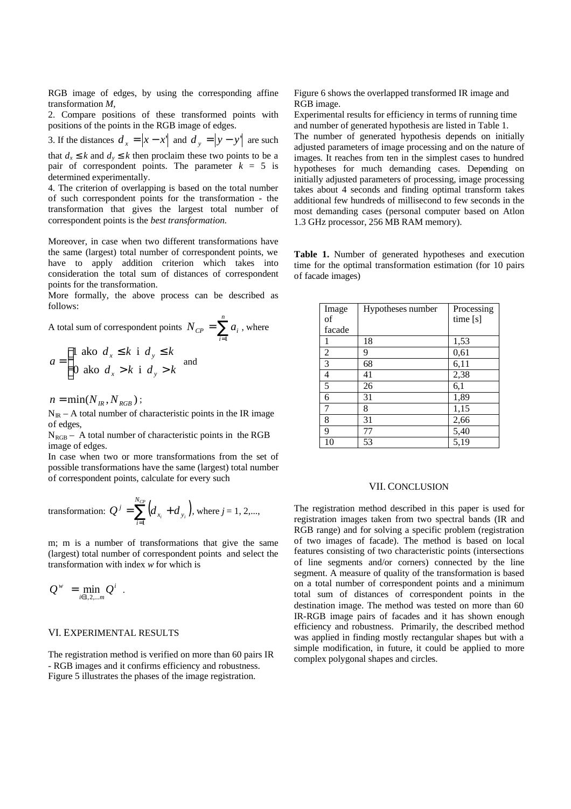RGB image of edges, by using the corresponding affine transformation *M*,

2. Compare positions of these transformed points with positions of the points in the RGB image of edges.

3. If the distances 
$$
d_x = |x - x'|
$$
 and  $d_y = |y - y'|$  are such that  $d_x \le k$  and  $d_y \le k$  then proclaim these two points to be a

pair of correspondent points. The parameter  $k = 5$  is determined experimentally.

4. The criterion of overlapping is based on the total number of such correspondent points for the transformation - the transformation that gives the largest total number of correspondent points is the *best transformation.*

Moreover, in case when two different transformations have the same (largest) total number of correspondent points, we have to apply addition criterion which takes into consideration the total sum of distances of correspondent points for the transformation.

More formally, the above process can be described as follows:

*i*

1

A total sum of correspondent points  $N_{CP} = \sum_{i=1}^{n}$  $N_{CP} = \sum a_i$ , where

$$
a = \begin{cases} 1 \text{ also } d_x \le k \text{ i } d_y \le k \\ 0 \text{ also } d_x > k \text{ i } d_y > k \end{cases} \text{ and}
$$

 $n = \min ( N_{IR}, N_{RGR})$ ;

 $N_{IR}$  – A total number of characteristic points in the IR image of edges,

 $N_{RGB}$  – A total number of characteristic points in the RGB image of edges.

In case when two or more transformations from the set of possible transformations have the same (largest) total number of correspondent points, calculate for every such

transformation: 
$$
Q^{j} = \sum_{i=1}^{N_{CP}} (d_{x_i} + d_{y_i})
$$
, where  $j = 1, 2,...$ ,

m; m is a number of transformations that give the same (largest) total number of correspondent points and select the transformation with index *w* for which is

$$
Q^w = \min_{i \in 1, 2, \dots m} Q^i.
$$

### VI. EXPERIMENTAL RESULTS

The registration method is verified on more than 60 pairs IR - RGB images and it confirms efficiency and robustness. Figure 5 illustrates the phases of the image registration.

Figure 6 shows the overlapped transformed IR image and RGB image.

Experimental results for efficiency in terms of running time and number of generated hypothesis are listed in Table 1. The number of generated hypothesis depends on initially adjusted parameters of image processing and on the nature of images. It reaches from ten in the simplest cases to hundred hypotheses for much demanding cases. Depending on initially adjusted parameters of processing, image processing takes about 4 seconds and finding optimal transform takes additional few hundreds of millisecond to few seconds in the most demanding cases (personal computer based on Atlon 1.3 GHz processor, 256 MB RAM memory).

**Table 1.** Number of generated hypotheses and execution time for the optimal transformation estimation (for 10 pairs of facade images)

| Image<br>of    | Hypotheses number | Processing<br>time $[s]$ |
|----------------|-------------------|--------------------------|
| facade         |                   |                          |
|                | 18                | 1,53                     |
| $\overline{2}$ | 9                 | 0,61                     |
| $\overline{3}$ | 68                | 6,11                     |
| $\overline{4}$ | 41                | 2,38                     |
| 5              | 26                | 6,1                      |
| 6              | 31                | 1,89                     |
| 7              | 8                 | 1,15                     |
| 8              | 31                | 2,66                     |
| 9              | 77                | 5,40                     |
| 10             | 53                | 5,19                     |

#### VII. CONCLUSION

The registration method described in this paper is used for registration images taken from two spectral bands (IR and RGB range) and for solving a specific problem (registration of two images of facade). The method is based on local features consisting of two characteristic points (intersections of line segments and/or corners) connected by the line segment. A measure of quality of the transformation is based on a total number of correspondent points and a minimum total sum of distances of correspondent points in the destination image. The method was tested on more than 60 IR-RGB image pairs of facades and it has shown enough efficiency and robustness. Primarily, the described method was applied in finding mostly rectangular shapes but with a simple modification, in future, it could be applied to more complex polygonal shapes and circles.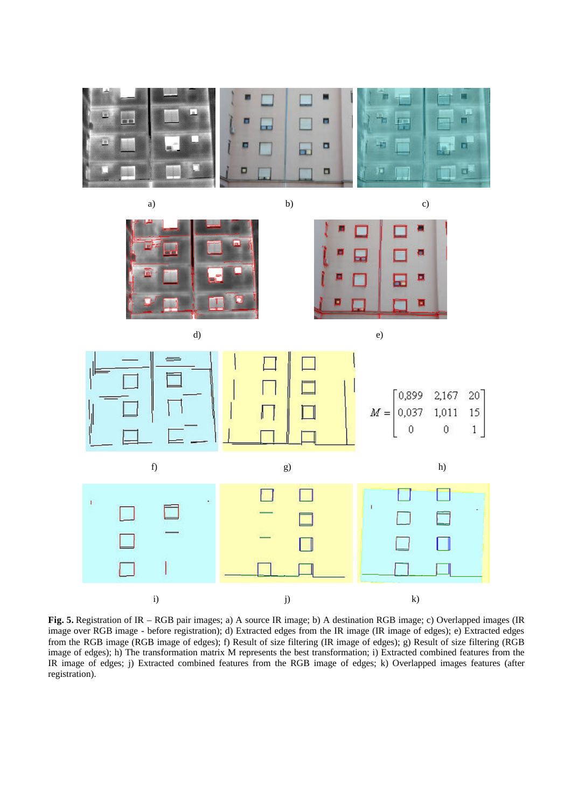

**Fig. 5.** Registration of IR – RGB pair images; a) A source IR image; b) A destination RGB image; c) Overlapped images (IR image over RGB image - before registration); d) Extracted edges from the IR image (IR image of edges); e) Extracted edges from the RGB image (RGB image of edges); f) Result of size filtering (IR image of edges); g) Result of size filtering (RGB image of edges); h) The transformation matrix M represents the best transformation; i) Extracted combined features from the IR image of edges; j) Extracted combined features from the RGB image of edges; k) Overlapped images features (after registration).